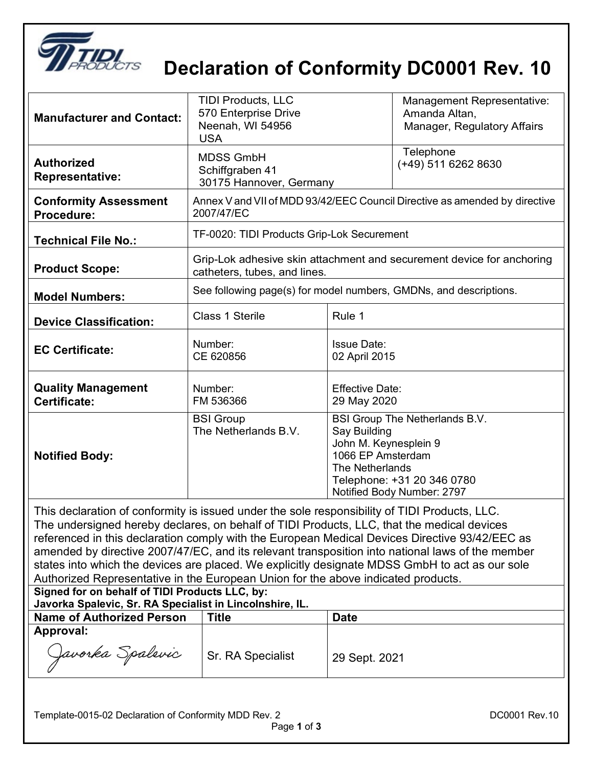

## **Declaration of Conformity DC0001 Rev. 10**

| <b>Manufacturer and Contact:</b>                                                                                      | <b>TIDI Products, LLC</b><br>570 Enterprise Drive<br>Neenah, WI 54956<br><b>USA</b>                   |                                                                               | Management Representative:<br>Amanda Altan,<br>Manager, Regulatory Affairs                 |
|-----------------------------------------------------------------------------------------------------------------------|-------------------------------------------------------------------------------------------------------|-------------------------------------------------------------------------------|--------------------------------------------------------------------------------------------|
| <b>Authorized</b><br><b>Representative:</b>                                                                           | <b>MDSS GmbH</b><br>Schiffgraben 41<br>30175 Hannover, Germany                                        |                                                                               | Telephone<br>(+49) 511 6262 8630                                                           |
| <b>Conformity Assessment</b><br>Procedure:                                                                            | Annex V and VII of MDD 93/42/EEC Council Directive as amended by directive<br>2007/47/EC              |                                                                               |                                                                                            |
| <b>Technical File No.:</b>                                                                                            | TF-0020: TIDI Products Grip-Lok Securement                                                            |                                                                               |                                                                                            |
| <b>Product Scope:</b>                                                                                                 | Grip-Lok adhesive skin attachment and securement device for anchoring<br>catheters, tubes, and lines. |                                                                               |                                                                                            |
| <b>Model Numbers:</b>                                                                                                 | See following page(s) for model numbers, GMDNs, and descriptions.                                     |                                                                               |                                                                                            |
| <b>Device Classification:</b>                                                                                         | <b>Class 1 Sterile</b>                                                                                | Rule 1                                                                        |                                                                                            |
| <b>EC Certificate:</b>                                                                                                | Number:<br>CE 620856                                                                                  | <b>Issue Date:</b><br>02 April 2015                                           |                                                                                            |
| <b>Quality Management</b><br>Certificate:                                                                             | Number:<br>FM 536366                                                                                  | <b>Effective Date:</b><br>29 May 2020                                         |                                                                                            |
| <b>Notified Body:</b><br>This declaration of conformity is issued under the sole responsibility of TIDI Dreducte. LLO | <b>BSI Group</b><br>The Netherlands B.V.                                                              | Say Building<br>John M. Keynesplein 9<br>1066 EP Amsterdam<br>The Netherlands | BSI Group The Netherlands B.V.<br>Telephone: +31 20 346 0780<br>Notified Body Number: 2797 |

This declaration of conformity is issued under the sole responsibility of TIDI Products, LLC. The undersigned hereby declares, on behalf of TIDI Products, LLC, that the medical devices referenced in this declaration comply with the European Medical Devices Directive 93/42/EEC as amended by directive 2007/47/EC, and its relevant transposition into national laws of the member states into which the devices are placed. We explicitly designate MDSS GmbH to act as our sole Authorized Representative in the European Union for the above indicated products.

**Signed for on behalf of TIDI Products LLC, by: Javorka Spalevic, Sr. RA Specialist in Lincolnshire, IL.**

| <b>Name of Authorized Person</b> | Title             | <b>Date</b>   |
|----------------------------------|-------------------|---------------|
| Approval:                        |                   |               |
| Javorka Spalevic                 | Sr. RA Specialist | 29 Sept. 2021 |

 $\overline{\phantom{a}}$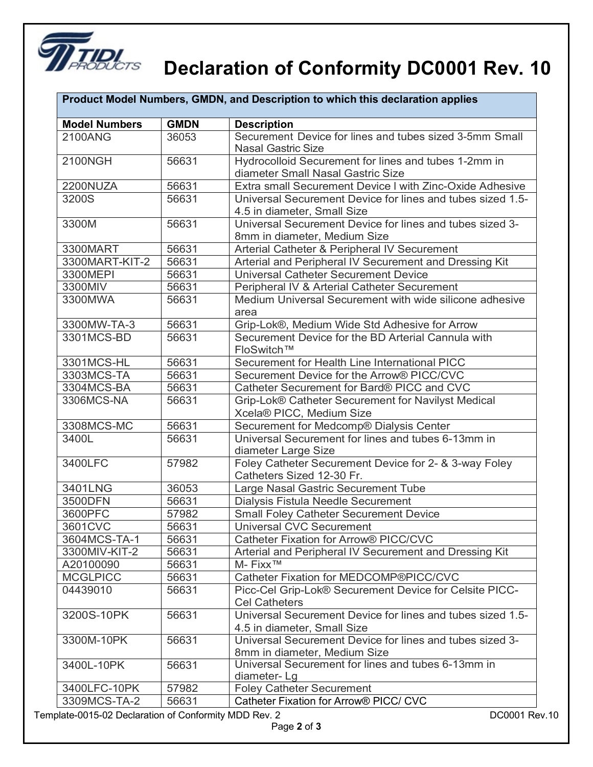

## **Declaration of Conformity DC0001 Rev. 10**

| Product Model Numbers, GMDN, and Description to which this declaration applies |             |                                                                                           |
|--------------------------------------------------------------------------------|-------------|-------------------------------------------------------------------------------------------|
| <b>Model Numbers</b>                                                           | <b>GMDN</b> | <b>Description</b>                                                                        |
| 2100ANG                                                                        | 36053       | Securement Device for lines and tubes sized 3-5mm Small<br><b>Nasal Gastric Size</b>      |
| 2100NGH                                                                        | 56631       | Hydrocolloid Securement for lines and tubes 1-2mm in<br>diameter Small Nasal Gastric Size |
| 2200NUZA                                                                       | 56631       | Extra small Securement Device I with Zinc-Oxide Adhesive                                  |
| 3200S                                                                          | 56631       | Universal Securement Device for lines and tubes sized 1.5-<br>4.5 in diameter, Small Size |
| 3300M                                                                          | 56631       | Universal Securement Device for lines and tubes sized 3-<br>8mm in diameter, Medium Size  |
| 3300MART                                                                       | 56631       | Arterial Catheter & Peripheral IV Securement                                              |
| 3300MART-KIT-2                                                                 | 56631       | Arterial and Peripheral IV Securement and Dressing Kit                                    |
| 3300MEPI                                                                       | 56631       | <b>Universal Catheter Securement Device</b>                                               |
| 3300MIV                                                                        | 56631       | Peripheral IV & Arterial Catheter Securement                                              |
| 3300MWA                                                                        | 56631       | Medium Universal Securement with wide silicone adhesive<br>area                           |
| 3300MW-TA-3                                                                    | 56631       | Grip-Lok®, Medium Wide Std Adhesive for Arrow                                             |
| 3301MCS-BD                                                                     | 56631       | Securement Device for the BD Arterial Cannula with<br>FloSwitch™                          |
| 3301MCS-HL                                                                     | 56631       | Securement for Health Line International PICC                                             |
| 3303MCS-TA                                                                     | 56631       | Securement Device for the Arrow® PICC/CVC                                                 |
| 3304MCS-BA                                                                     | 56631       | Catheter Securement for Bard® PICC and CVC                                                |
| 3306MCS-NA                                                                     | 56631       | Grip-Lok® Catheter Securement for Navilyst Medical<br>Xcela® PICC, Medium Size            |
| 3308MCS-MC                                                                     | 56631       | Securement for Medcomp® Dialysis Center                                                   |
| 3400L                                                                          | 56631       | Universal Securement for lines and tubes 6-13mm in<br>diameter Large Size                 |
| 3400LFC                                                                        | 57982       | Foley Catheter Securement Device for 2- & 3-way Foley<br>Catheters Sized 12-30 Fr.        |
| 3401LNG                                                                        | 36053       | Large Nasal Gastric Securement Tube                                                       |
| 3500DFN                                                                        | 56631       | Dialysis Fistula Needle Securement                                                        |
| 3600PFC                                                                        | 57982       | <b>Small Foley Catheter Securement Device</b>                                             |
| 3601CVC                                                                        | 56631       | Universal CVC Securement                                                                  |
| 3604MCS-TA-1                                                                   | 56631       | Catheter Fixation for Arrow® PICC/CVC                                                     |
| 3300MIV-KIT-2                                                                  | 56631       | Arterial and Peripheral IV Securement and Dressing Kit                                    |
| A20100090                                                                      | 56631       | M-Fixx <sup>™</sup>                                                                       |
| <b>MCGLPICC</b>                                                                | 56631       | Catheter Fixation for MEDCOMP®PICC/CVC                                                    |
| 04439010                                                                       | 56631       | Picc-Cel Grip-Lok® Securement Device for Celsite PICC-<br><b>Cel Catheters</b>            |
| 3200S-10PK                                                                     | 56631       | Universal Securement Device for lines and tubes sized 1.5-<br>4.5 in diameter, Small Size |
| 3300M-10PK                                                                     | 56631       | Universal Securement Device for lines and tubes sized 3-<br>8mm in diameter, Medium Size  |
| 3400L-10PK                                                                     | 56631       | Universal Securement for lines and tubes 6-13mm in<br>diameter-Lg                         |
| 3400LFC-10PK                                                                   | 57982       | <b>Foley Catheter Securement</b>                                                          |
| 3309MCS-TA-2                                                                   | 56631       | Catheter Fixation for Arrow® PICC/ CVC                                                    |

Template-0015-02 Declaration of Conformity MDD Rev. 2 DC0001 Rev.10

 $\overline{\phantom{a}}$